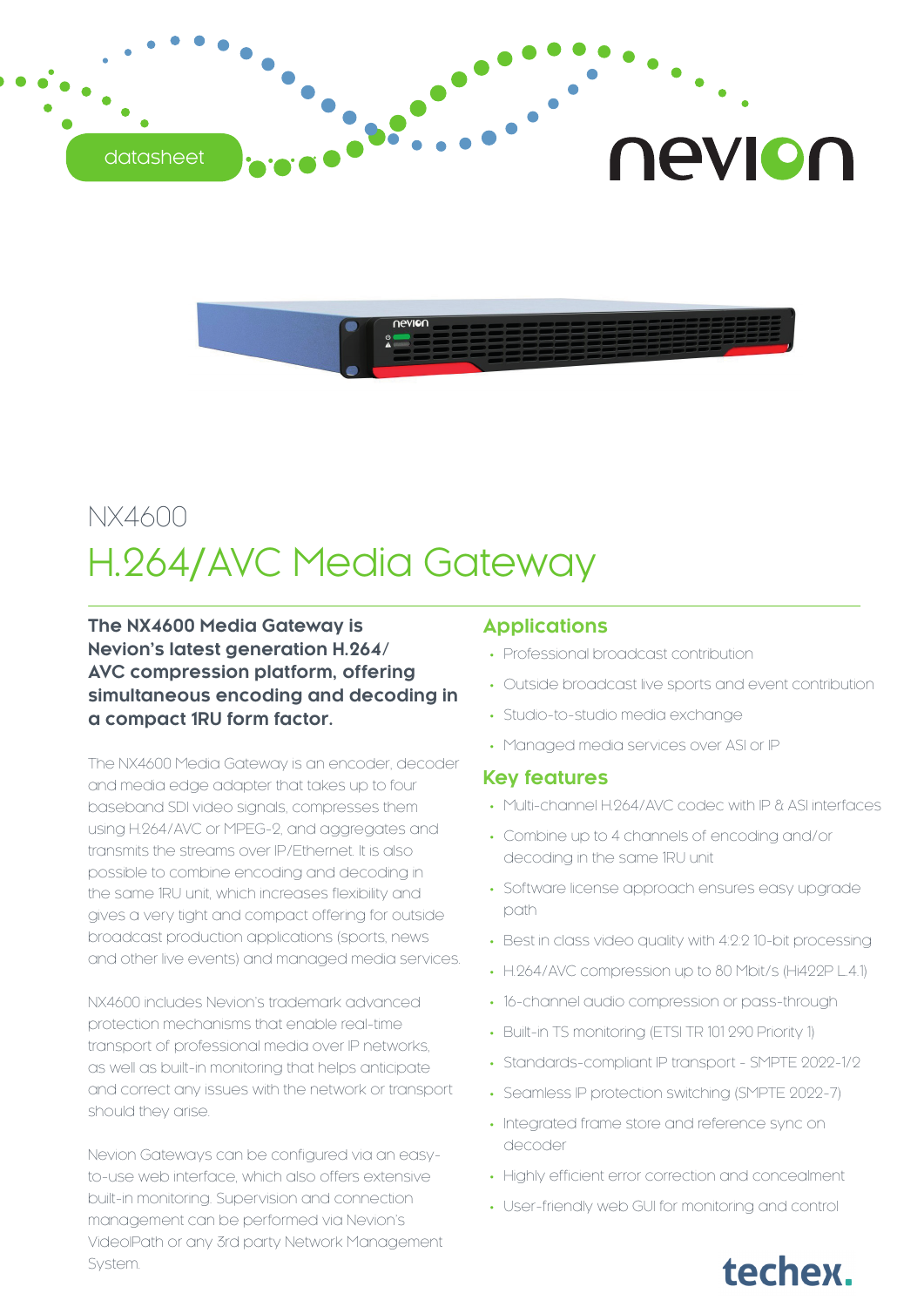



# NX4600 H.264/AVC Media Gateway

**The NX4600 Media Gateway is Nevion's latest generation H.264/ AVC compression platform, offering simultaneous encoding and decoding in a compact 1RU form factor.**

The NX4600 Media Gateway is an encoder, decoder and media edge adapter that takes up to four baseband SDI video signals, compresses them using H.264/AVC or MPEG-2, and aggregates and transmits the streams over IP/Ethernet. It is also possible to combine encoding and decoding in the same 1RU unit, which increases flexibility and gives a very tight and compact offering for outside broadcast production applications (sports, news and other live events) and managed media services.

NX4600 includes Nevion's trademark advanced protection mechanisms that enable real-time transport of professional media over IP networks, as well as built-in monitoring that helps anticipate and correct any issues with the network or transport should they arise.

Nevion Gateways can be configured via an easyto-use web interface, which also offers extensive built-in monitoring. Supervision and connection management can be performed via Nevion's VideoIPath or any 3rd party Network Management System.

## **Applications**

- Professional broadcast contribution
- Outside broadcast live sports and event contribution
- Studio-to-studio media exchange
- Managed media services over ASI or IP

## **Key features**

- Multi-channel H.264/AVC codec with IP & ASI interfaces
- Combine up to 4 channels of encoding and/or decoding in the same 1RU unit
- Software license approach ensures easy upgrade path
- Best in class video quality with 4:2:2 10-bit processing
- H.264/AVC compression up to 80 Mbit/s (Hi422P L.4.1)
- 16-channel audio compression or pass-through
- Built-in TS monitoring (ETSI TR 101 290 Priority 1)
- Standards-compliant IP transport SMPTE 2022-1/2
- Seamless IP protection switching (SMPTE 2022-7)
- Integrated frame store and reference sync on decoder
- Highly efficient error correction and concealment
- User-friendly web GUI for monitoring and control

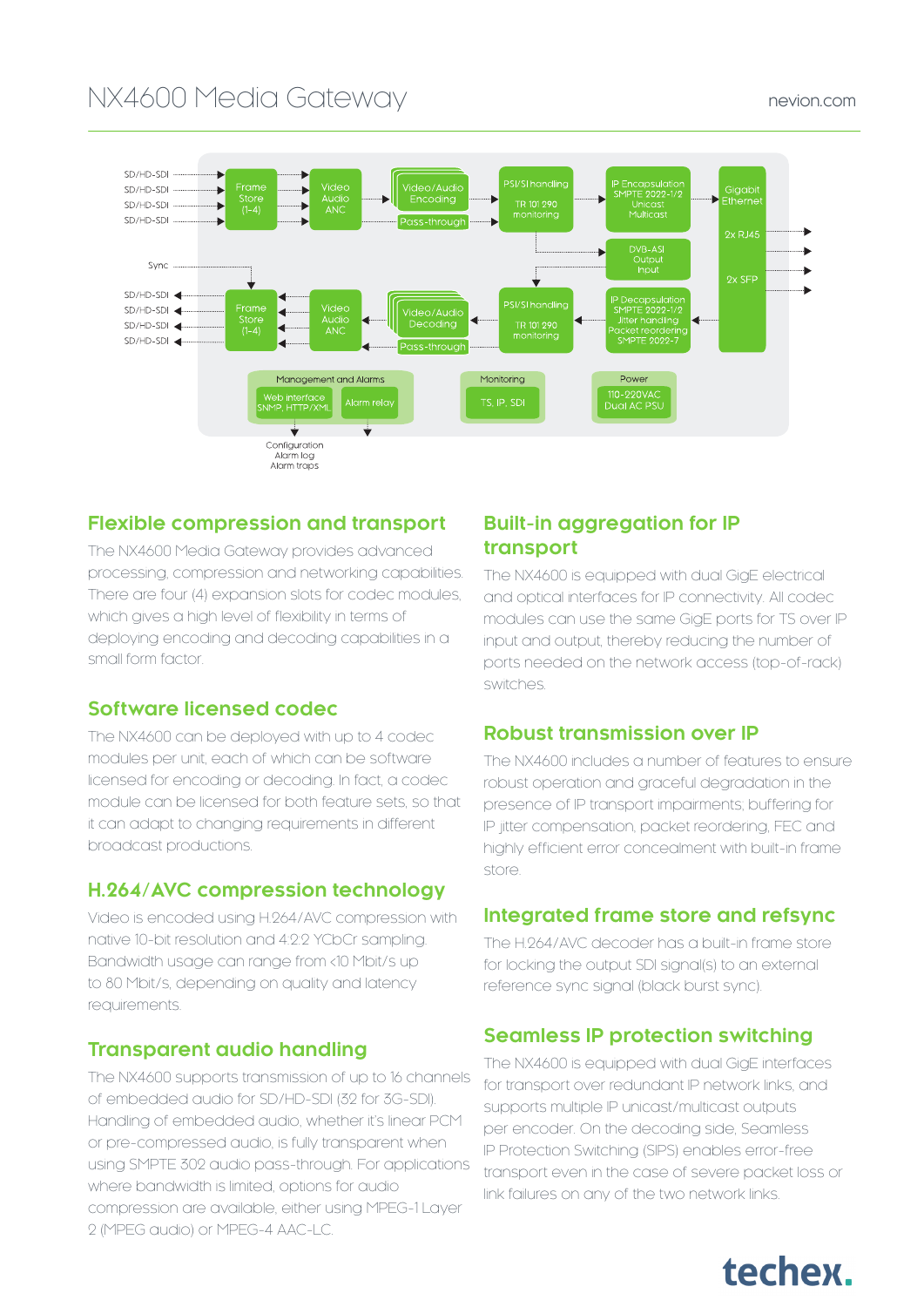## NX4600 Media Gateway nevion.com



## **Flexible compression and transport**

The NX4600 Media Gateway provides advanced processing, compression and networking capabilities. There are four (4) expansion slots for codec modules, which gives a high level of flexibility in terms of deploying encoding and decoding capabilities in a small form factor.

## **Software licensed codec**

The NX4600 can be deployed with up to 4 codec modules per unit, each of which can be software licensed for encoding or decoding. In fact, a codec module can be licensed for both feature sets, so that it can adapt to changing requirements in different broadcast productions.

## **H.264/AVC compression technology**

Video is encoded using H.264/AVC compression with native 10-bit resolution and 4:2:2 YCbCr sampling. Bandwidth usage can range from <10 Mbit/s up to 80 Mbit/s, depending on quality and latency requirements.

## **Transparent audio handling**

The NX4600 supports transmission of up to 16 channels of embedded audio for SD/HD-SDI (32 for 3G-SDI). Handling of embedded audio, whether it's linear PCM or pre-compressed audio, is fully transparent when using SMPTE 302 audio pass-through. For applications where bandwidth is limited, options for audio compression are available, either using MPEG-1 Layer 2 (MPEG audio) or MPEG-4 AAC-LC.

## **Built-in aggregation for IP transport**

The NX4600 is equipped with dual GigE electrical and optical interfaces for IP connectivity. All codec modules can use the same GigE ports for TS over IP input and output, thereby reducing the number of ports needed on the network access (top-of-rack) switches.

## **Robust transmission over IP**

The NX4600 includes a number of features to ensure robust operation and graceful degradation in the presence of IP transport impairments; buffering for IP jitter compensation, packet reordering, FEC and highly efficient error concealment with built-in frame store.

## **Integrated frame store and refsync**

The H.264/AVC decoder has a built-in frame store for locking the output SDI signal(s) to an external reference sync signal (black burst sync).

## **Seamless IP protection switching**

The NX4600 is equipped with dual GigE interfaces for transport over redundant IP network links, and supports multiple IP unicast/multicast outputs per encoder. On the decoding side, Seamless IP Protection Switching (SIPS) enables error-free transport even in the case of severe packet loss or link failures on any of the two network links.

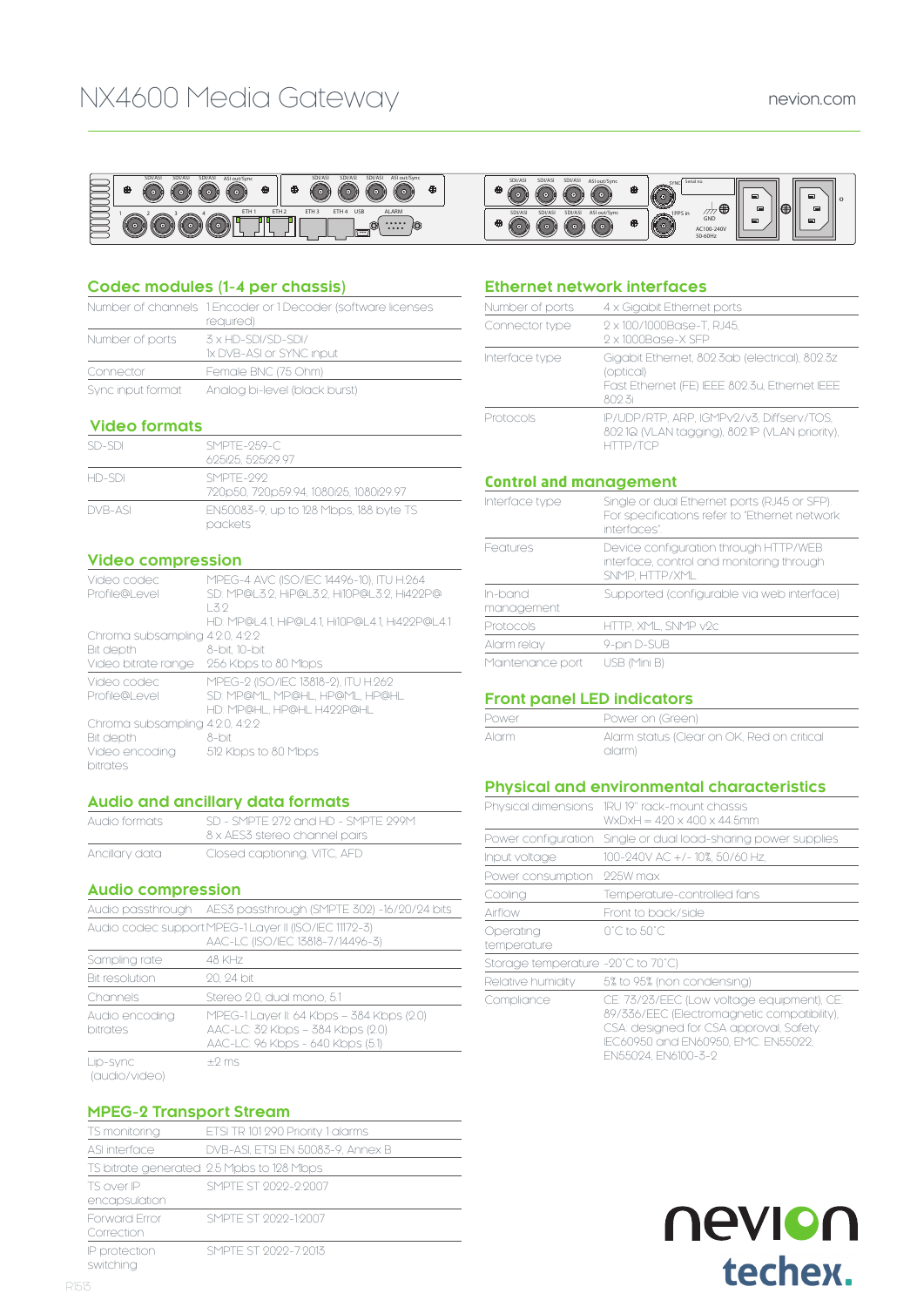

#### **Codec modules (1-4 per chassis)**

|                   | Number of channels 1 Encoder or 1 Decoder (software licenses<br>required) |
|-------------------|---------------------------------------------------------------------------|
| Number of ports   | 3 x HD-SDI/SD-SDI/<br>1x DVB-ASI or SYNC input                            |
| Connector         | Female BNC (75 Ohm)                                                       |
| Sync input format | Analog bi-level (black burst)                                             |

#### **Video formats**

| SD-SDL   | $SMPTF-959-C$<br>695i95 595i99 97                 |
|----------|---------------------------------------------------|
| $HD-SDI$ | SMPTF-999<br>720p50.720p59.94.1080i25.1080i29.97  |
| DVB-ASL  | EN50083-9, up to 128 Mbps, 188 byte TS<br>packets |

#### **Video compression**

| Video codec<br>Profile@Level    | MPEG-4 AVC (ISO/IEC 14496-10), ITU H.264<br>SD: MP@L3.2. HiP@L3.2. Hi10P@L3.2. Hi422P@<br>132<br>HD: MP@L4.1, HiP@L4.1, Hi10P@L4.1, Hi422P@L4.1 |
|---------------------------------|-------------------------------------------------------------------------------------------------------------------------------------------------|
| Chroma subsampling 4:2:0, 4:2:2 |                                                                                                                                                 |
| Bit depth                       | 8-bit. 10-bit                                                                                                                                   |
|                                 | Video bitrate range 256 Kbps to 80 Mbps                                                                                                         |
| Video codec                     | MPEG-2 (ISO/IEC 13818-2), ITU H.262                                                                                                             |
| Profile@l evel                  | SD: MP@ML, MP@HL, HP@ML, HP@HL                                                                                                                  |
|                                 | HD: MP@HL. HP@HL H422P@HL                                                                                                                       |
|                                 |                                                                                                                                                 |
| Chroma subsampling 4:2:0, 4:2:2 |                                                                                                                                                 |
| Bit depth                       | 8-bit                                                                                                                                           |

#### **Audio and ancillary data formats**

| Audio formats  | SD - SMPTF 979 and HD - SMPTF 999M<br>8 x AES3 stereo channel pairs |
|----------------|---------------------------------------------------------------------|
| Ancillary data | Closed captioning, VITC, AFD                                        |

#### **Audio compression**

| Audio passthrough AES3 passthrough (SMPTE 302) -16/20/24 bits |
|---------------------------------------------------------------|
| Audio codec support MPEG-1 Layer II (ISO/IEC 11172-3)         |
| ΔΔC-LC (ISO/JEC 13818-7/14496-3)                              |

|                                   | AAG EG 11907 IEG 10010 77 ITT70 07                                                                                |
|-----------------------------------|-------------------------------------------------------------------------------------------------------------------|
| Sampling rate                     | 48 KHz                                                                                                            |
| <b>Bit resolution</b>             | 20.24 bit                                                                                                         |
| Channels                          | Stereo 2.0, dual mono, 5.1                                                                                        |
| Audio encoding<br><b>bitrates</b> | MPEG-1 Layer II: 64 Kbps - 384 Kbps (2.0)<br>AAC-LC: 32 Kbps - 384 Kbps (2.0)<br>AAC-LC: 96 Kbps - 640 Kbps (5.1) |
| Lip-sync<br>(audio/video)         | $+9$ ms                                                                                                           |

#### **MPEG-2 Transport Stream**

| TS monitoring               | ETSI TR 101 290 Priority 1 alarms         |
|-----------------------------|-------------------------------------------|
| ASI interface               | DVB-ASI. ETSI EN 50083-9. Annex B         |
|                             | TS bitrate generated 2.5 Mpbs to 128 Mbps |
| TS over IP<br>encapsulation | SMPTF ST 2022-2:2007                      |
| Forward Error<br>Correction | SMPTF ST 2022-12007                       |
| IP protection<br>switching  | SMPTF ST 2022-7:2013                      |



#### **Ethernet network interfaces**

| Number of ports | 4 x Gigabit Ethernet ports                                                                                             |
|-----------------|------------------------------------------------------------------------------------------------------------------------|
| Connector type  | 2 x 100/1000Base-T. RJ45.<br>$2 \times 1000$ Base-X SFP                                                                |
| Interface type  | Gigabit Ethernet, 802.3ab (electrical), 802.3z<br>(optical)<br>Fast Ethernet (FE) IEEE 802.3u, Ethernet IEEE<br>802 3i |
| Protocols       | IP/UDP/RTP. ARP. IGMPv2/v3. Diffserv/TOS.<br>802.1Q (VLAN tagging), 802.1P (VLAN priority),                            |

#### **Control and management**

| Interface type        | Single or dual Ethernet ports (RJ45 or SFP).<br>For specifications refer to "Ethernet network<br>interfaces". |
|-----------------------|---------------------------------------------------------------------------------------------------------------|
| Features              | Device configuration through HTTP/WEB<br>interface, control and monitoring through<br>SNMP. HTTP/XML          |
| In-band<br>management | Supported (configurable via web interface)                                                                    |
| Protocols             | HTTP. XML. SNMP v2c                                                                                           |
| Alarm relay           | 9-pin D-SUB                                                                                                   |
| Maintenance port      | USB (Mini B)                                                                                                  |

#### **Front panel LED indicators**

| Power | Power on (Green)                                     |
|-------|------------------------------------------------------|
| Alarm | Alarm status (Clear on OK, Red on critical<br>alarm) |

#### **Physical and environmental characteristics**

|                                    | Physical dimensions 1RU 19" rack-mount chassis<br>$WxDxH = 490 \times 400 \times 445$ mm                                                                                                           |
|------------------------------------|----------------------------------------------------------------------------------------------------------------------------------------------------------------------------------------------------|
| Power configuration                | Single or dual load-sharing power supplies                                                                                                                                                         |
| Input voltage                      | 100-240V AC +/- 10%, 50/60 Hz.                                                                                                                                                                     |
| Power consumption                  | 995W max                                                                                                                                                                                           |
| Coolina                            | Temperature-controlled fans                                                                                                                                                                        |
| Airflow                            | Front to back/side                                                                                                                                                                                 |
| Operating<br>temperature           | 0°C to 50°C                                                                                                                                                                                        |
| Storage temperature -20°C to 70°C) |                                                                                                                                                                                                    |
| Relative humidity                  | 5% to 95% (non condensing)                                                                                                                                                                         |
| Compliance                         | CE: 73/23/EEC (Low voltage equipment), CE:<br>89/336/EEC (Electromagnetic compatibility),<br>CSA: designed for CSA approval, Safety:<br>IEC60950 and EN60950. EMC: EN55022.<br>EN55024, EN6100-3-2 |